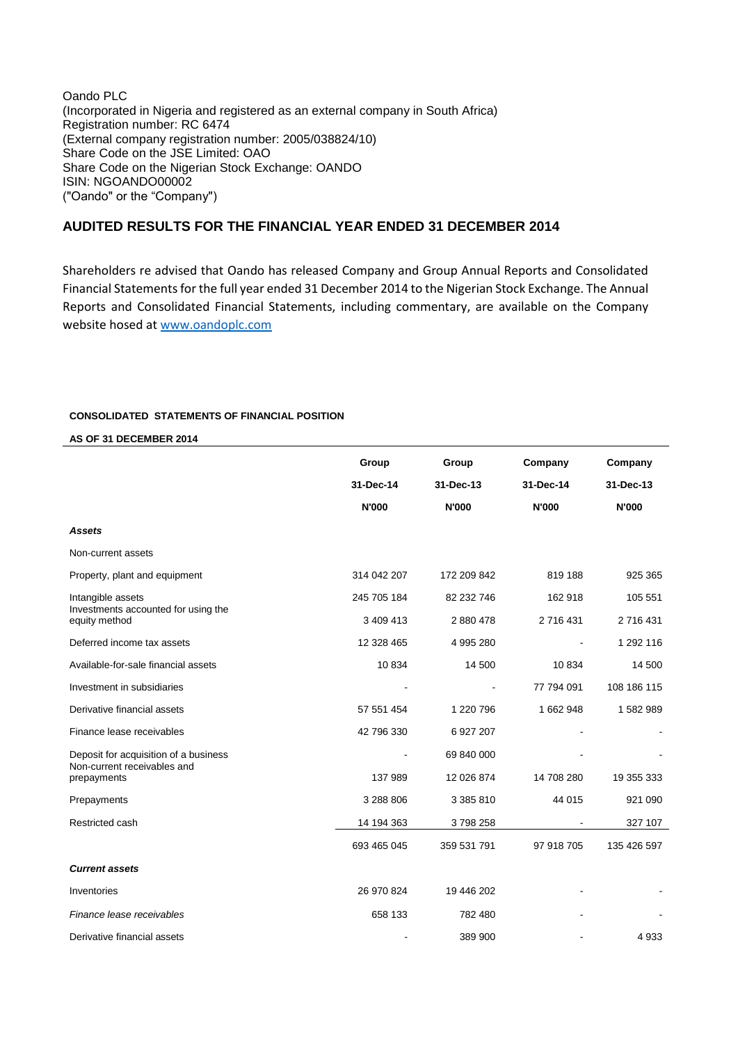Oando PLC (Incorporated in Nigeria and registered as an external company in South Africa) Registration number: RC 6474 (External company registration number: 2005/038824/10) Share Code on the JSE Limited: OAO Share Code on the Nigerian Stock Exchange: OANDO ISIN: NGOANDO00002 ("Oando" or the "Company")

# **AUDITED RESULTS FOR THE FINANCIAL YEAR ENDED 31 DECEMBER 2014**

Shareholders re advised that Oando has released Company and Group Annual Reports and Consolidated Financial Statements for the full year ended 31 December 2014 to the Nigerian Stock Exchange. The Annual Reports and Consolidated Financial Statements, including commentary, are available on the Company website hosed at [www.oandoplc.com](http://www.oandoplc.com/)

### **CONSOLIDATED STATEMENTS OF FINANCIAL POSITION**

### **AS OF 31 DECEMBER 2014**

|                                                          | Group<br>31-Dec-14<br><b>N'000</b> | Group<br>31-Dec-13<br><b>N'000</b> | Company<br>31-Dec-14<br><b>N'000</b> | Company<br>31-Dec-13<br><b>N'000</b> |
|----------------------------------------------------------|------------------------------------|------------------------------------|--------------------------------------|--------------------------------------|
| <b>Assets</b>                                            |                                    |                                    |                                      |                                      |
| Non-current assets                                       |                                    |                                    |                                      |                                      |
| Property, plant and equipment                            | 314 042 207                        | 172 209 842                        | 819 188                              | 925 365                              |
| Intangible assets<br>Investments accounted for using the | 245 705 184                        | 82 232 746                         | 162 918                              | 105 551                              |
| equity method                                            | 3 409 413                          | 2 880 478                          | 2 716 431                            | 2 716 431                            |
| Deferred income tax assets                               | 12 328 465                         | 4 995 280                          |                                      | 1 292 116                            |
| Available-for-sale financial assets                      | 10834                              | 14 500                             | 10834                                | 14 500                               |
| Investment in subsidiaries                               |                                    |                                    | 77 794 091                           | 108 186 115                          |
| Derivative financial assets                              | 57 551 454                         | 1 220 796                          | 1 662 948                            | 1582989                              |
| Finance lease receivables                                | 42 796 330                         | 6 927 207                          |                                      |                                      |
| Deposit for acquisition of a business                    |                                    | 69 840 000                         |                                      |                                      |
| Non-current receivables and<br>prepayments               | 137 989                            | 12 026 874                         | 14 708 280                           | 19 355 333                           |
| Prepayments                                              | 3 288 806                          | 3 385 810                          | 44 015                               | 921 090                              |
| Restricted cash                                          | 14 194 363                         | 3798258                            |                                      | 327 107                              |
|                                                          | 693 465 045                        | 359 531 791                        | 97 918 705                           | 135 426 597                          |
| <b>Current assets</b>                                    |                                    |                                    |                                      |                                      |
| Inventories                                              | 26 970 824                         | 19 446 202                         |                                      |                                      |
| Finance lease receivables                                | 658 133                            | 782 480                            |                                      |                                      |
| Derivative financial assets                              |                                    | 389 900                            |                                      | 4 9 3 3                              |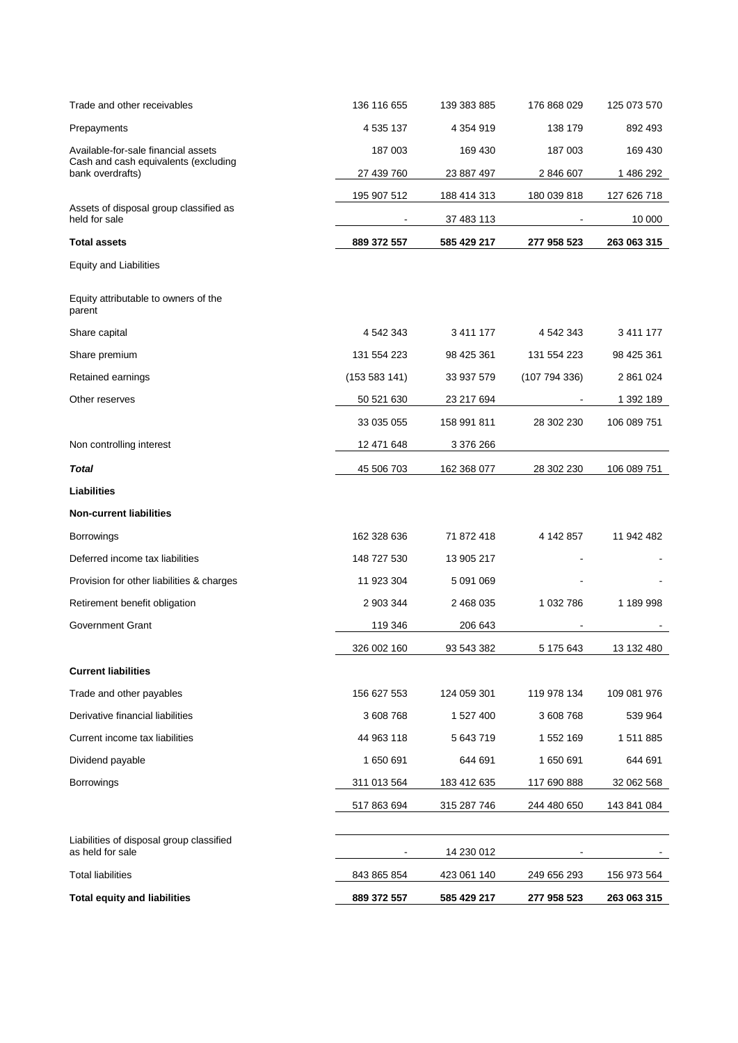| Trade and other receivables                              | 136 116 655   | 139 383 885 | 176 868 029 | 125 073 570 |
|----------------------------------------------------------|---------------|-------------|-------------|-------------|
| Prepayments                                              | 4 535 137     | 4 354 919   | 138 179     | 892 493     |
| Available-for-sale financial assets                      | 187 003       | 169 430     | 187 003     | 169 430     |
| Cash and cash equivalents (excluding<br>bank overdrafts) | 27 439 760    | 23 887 497  | 2 846 607   | 1 486 292   |
|                                                          | 195 907 512   | 188 414 313 | 180 039 818 | 127 626 718 |
| Assets of disposal group classified as<br>held for sale  |               | 37 483 113  |             | 10 000      |
| <b>Total assets</b>                                      | 889 372 557   | 585 429 217 | 277 958 523 | 263 063 315 |
| <b>Equity and Liabilities</b>                            |               |             |             |             |
| Equity attributable to owners of the<br>parent           |               |             |             |             |
| Share capital                                            | 4 542 343     | 3 411 177   | 4 542 343   | 3 411 177   |
| Share premium                                            | 131 554 223   | 98 425 361  | 131 554 223 | 98 425 361  |
| Retained earnings                                        | (153 583 141) | 33 937 579  | (107794336) | 2 861 024   |
| Other reserves                                           | 50 521 630    | 23 217 694  |             | 1 392 189   |
|                                                          | 33 035 055    | 158 991 811 | 28 302 230  | 106 089 751 |
| Non controlling interest                                 | 12 471 648    | 3 376 266   |             |             |
| <b>Total</b>                                             | 45 506 703    | 162 368 077 | 28 302 230  | 106 089 751 |
| Liabilities                                              |               |             |             |             |
| <b>Non-current liabilities</b>                           |               |             |             |             |
| <b>Borrowings</b>                                        | 162 328 636   | 71 872 418  | 4 142 857   | 11 942 482  |
| Deferred income tax liabilities                          | 148 727 530   | 13 905 217  |             |             |
| Provision for other liabilities & charges                | 11 923 304    | 5 091 069   |             |             |
| Retirement benefit obligation                            | 2 903 344     | 2 468 035   | 1 032 786   | 1 189 998   |
| Government Grant                                         | 119 346       | 206 643     |             |             |
|                                                          | 326 002 160   | 93 543 382  | 5 175 643   | 13 132 480  |
| <b>Current liabilities</b>                               |               |             |             |             |
| Trade and other payables                                 | 156 627 553   | 124 059 301 | 119 978 134 | 109 081 976 |
| Derivative financial liabilities                         | 3 608 768     | 1 527 400   | 3 608 768   | 539 964     |
| Current income tax liabilities                           | 44 963 118    | 5 643 719   | 1 552 169   | 1 511 885   |
| Dividend payable                                         | 1 650 691     | 644 691     | 1650691     | 644 691     |
| <b>Borrowings</b>                                        | 311 013 564   | 183 412 635 | 117 690 888 | 32 062 568  |
|                                                          | 517 863 694   | 315 287 746 | 244 480 650 | 143 841 084 |
| Liabilities of disposal group classified                 |               |             |             |             |
| as held for sale                                         |               | 14 230 012  |             |             |
| <b>Total liabilities</b>                                 | 843 865 854   | 423 061 140 | 249 656 293 | 156 973 564 |
| <b>Total equity and liabilities</b>                      | 889 372 557   | 585 429 217 | 277 958 523 | 263 063 315 |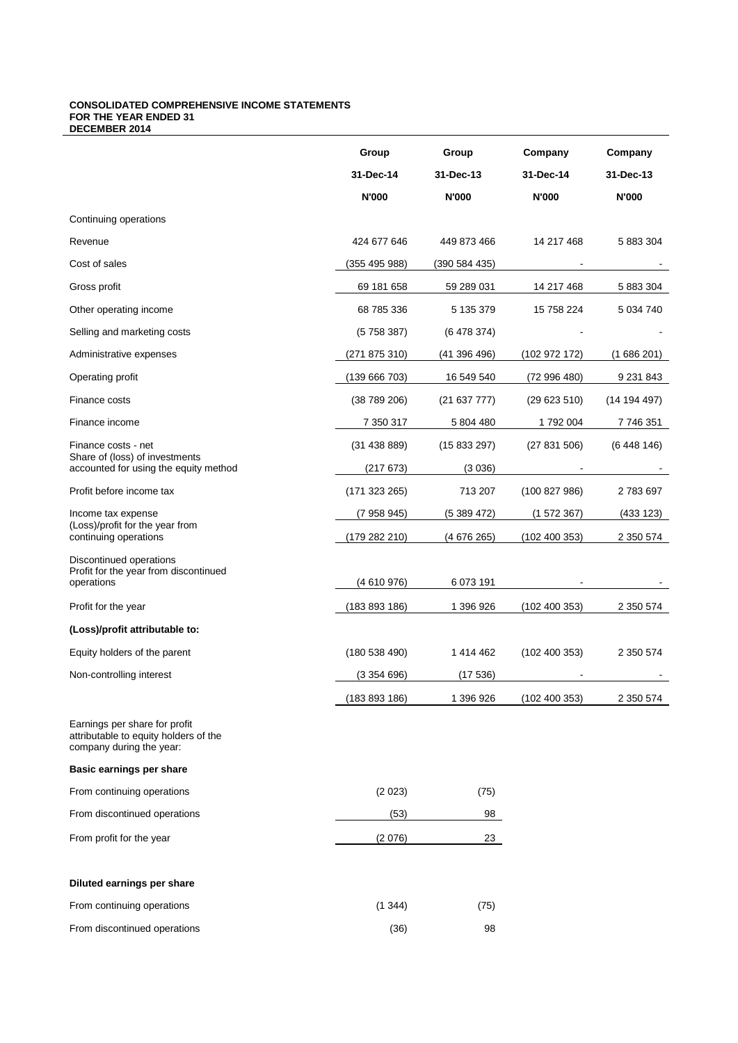#### **CONSOLIDATED COMPREHENSIVE INCOME STATEMENTS FOR THE YEAR ENDED 31 DECEMBER 2014**

|                                                                                                    | Group         | Group         | Company       | Company      |
|----------------------------------------------------------------------------------------------------|---------------|---------------|---------------|--------------|
|                                                                                                    | 31-Dec-14     | 31-Dec-13     | 31-Dec-14     | 31-Dec-13    |
|                                                                                                    | <b>N'000</b>  | <b>N'000</b>  | <b>N'000</b>  | <b>N'000</b> |
| Continuing operations                                                                              |               |               |               |              |
| Revenue                                                                                            | 424 677 646   | 449 873 466   | 14 217 468    | 5 883 304    |
| Cost of sales                                                                                      | (355 495 988) | (390 584 435) |               |              |
| Gross profit                                                                                       | 69 181 658    | 59 289 031    | 14 217 468    | 5 883 304    |
| Other operating income                                                                             | 68 785 336    | 5 135 379     | 15 758 224    | 5 034 740    |
| Selling and marketing costs                                                                        | (5758387)     | (6478374)     |               |              |
| Administrative expenses                                                                            | (271 875 310) | (41396496)    | (102972172)   | (1686201)    |
| Operating profit                                                                                   | (139 666 703) | 16 549 540    | (72996480)    | 9 2 31 8 4 3 |
| Finance costs                                                                                      | (38789206)    | (21637777)    | (29623510)    | (14 194 497) |
| Finance income                                                                                     | 7 350 317     | 5 804 480     | 1792004       | 7 746 351    |
| Finance costs - net                                                                                | (31438889)    | (15833297)    | (27831506)    | (6448146)    |
| Share of (loss) of investments<br>accounted for using the equity method                            | (217673)      | (3036)        |               |              |
| Profit before income tax                                                                           | (171323265)   | 713 207       | (100 827 986) | 2783697      |
| Income tax expense                                                                                 | (7 958 945)   | (5389472)     | (1572367)     | (433 123)    |
| (Loss)/profit for the year from<br>continuing operations                                           | (179 282 210) | (4676265)     | (102 400 353) | 2 350 574    |
| Discontinued operations                                                                            |               |               |               |              |
| Profit for the year from discontinued<br>operations                                                | (4610976)     | 6 073 191     |               |              |
| Profit for the year                                                                                | (183 893 186) | 1 396 926     | (102 400 353) | 2 350 574    |
| (Loss)/profit attributable to:                                                                     |               |               |               |              |
| Equity holders of the parent                                                                       | (180538490)   | 1 414 462     | (102 400 353) | 2 350 574    |
| Non-controlling interest                                                                           | (3354696)     | (17536)       |               |              |
|                                                                                                    | (183 893 186) | 1 396 926     | (102 400 353) | 2 350 574    |
| Earnings per share for profit<br>attributable to equity holders of the<br>company during the year: |               |               |               |              |
| Basic earnings per share                                                                           |               |               |               |              |
| From continuing operations                                                                         | (2023)        | (75)          |               |              |
| From discontinued operations                                                                       | (53)          | 98            |               |              |
| From profit for the year                                                                           | (2076)        | 23            |               |              |
| Diluted earnings per share                                                                         |               |               |               |              |
| From continuing operations                                                                         | (1344)        | (75)          |               |              |
| From discontinued operations                                                                       | (36)          | 98            |               |              |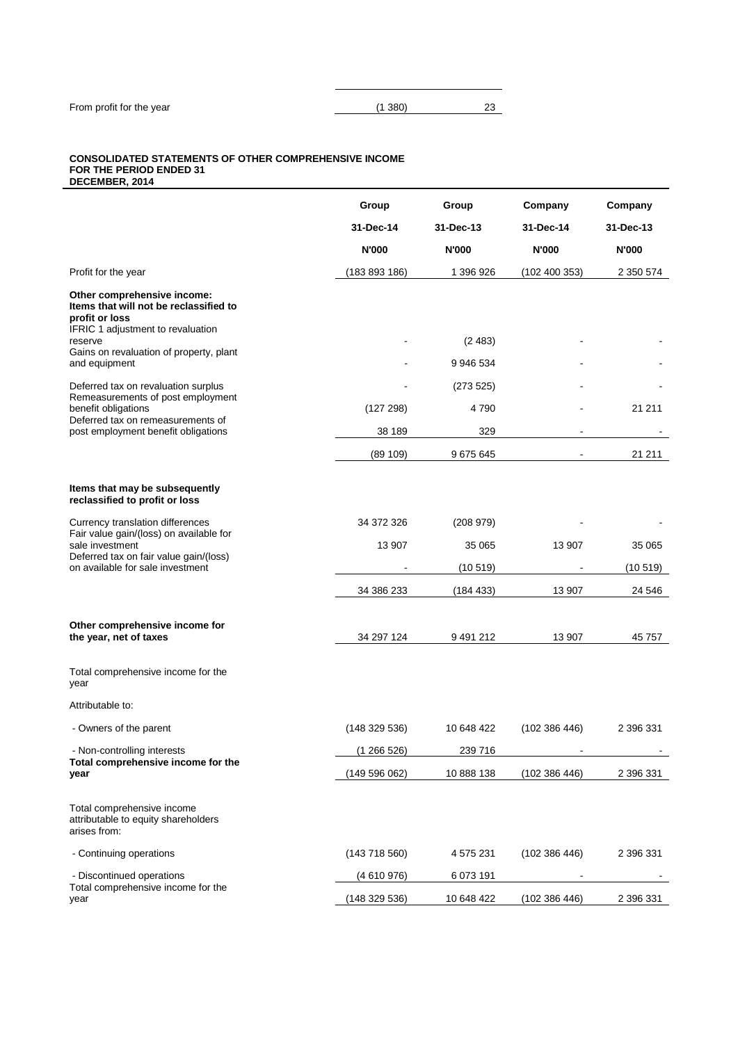## **CONSOLIDATED STATEMENTS OF OTHER COMPREHENSIVE INCOME FOR THE PERIOD ENDED 31**

**DECEMBER, 2014 Group Group Company Company 31-Dec-14 31-Dec-13 31-Dec-14 31-Dec-13 N'000 N'000 N'000 N'000** Profit for the year (183 893 186) 1 396 926 (102 400 353) 2 350 574 **Other comprehensive income: Items that will not be reclassified to profit or loss** IFRIC 1 adjustment to revaluation reserve - (2 483) - - Gains on revaluation of property, plant and equipment 9946 534 Deferred tax on revaluation surplus  $(273 525)$ Remeasurements of post employment benefit obligations (127 298) 4 790 - 21 211 Deferred tax on remeasurements of post employment benefit obligations and the set of the set of the set of the set of the set of the set of the set of the set of the set of the set of the set of the set of the set of the set of the set of the set of the se (89 109) 9 675 645 - 21 211 **Items that may be subsequently reclassified to profit or loss** Currency translation differences 34 372 326 (208 979) - - Fair value gain/(loss) on available for sale investment 13 907 13 907 35 065 13 907 35 065 13 907 35 065 Deferred tax on fair value gain/(loss) on available for sale investment  $(10\ 519)$   $(10\ 519)$   $(10\ 519)$ 34 386 233 (184 433) 13 907 24 546 **Other comprehensive income for the year, net of taxes** 34 297 124 9 491 212 13 907 45 757 Total comprehensive income for the year Attributable to: - Owners of the parent (148 329 536) 10 648 422 (102 386 446) 2 396 331 - Non-controlling interests (1 266 526) 239 716 **Total comprehensive income for the year** (102 386 446) 2 396 331 Total comprehensive income attributable to equity shareholders arises from: - Continuing operations (143 718 560) 4 575 231 (102 386 446) 2 396 331 - Discontinued operations (4 610 976) 6 073 191 Total comprehensive income for the year (148 329 536) 10 648 422 (102 386 446) 2 396 331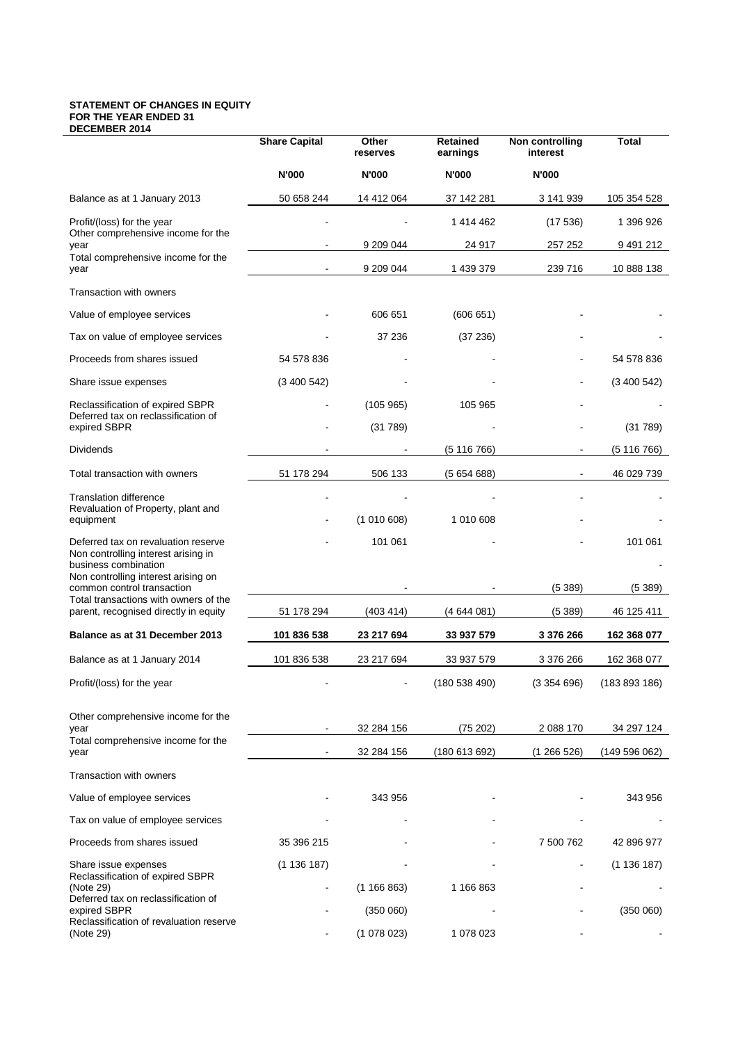#### **STATEMENT OF CHANGES IN EQUITY FOR THE YEAR ENDED 31 DECEMBER 2014**

|                                                                                                    | <b>Share Capital</b> | Other<br>reserves | Retained<br>earnings | Non controlling<br>interest | Total         |
|----------------------------------------------------------------------------------------------------|----------------------|-------------------|----------------------|-----------------------------|---------------|
|                                                                                                    | <b>N'000</b>         | <b>N'000</b>      | <b>N'000</b>         | <b>N'000</b>                |               |
| Balance as at 1 January 2013                                                                       | 50 658 244           | 14 412 064        | 37 142 281           | 3 141 939                   | 105 354 528   |
| Profit/(loss) for the year<br>Other comprehensive income for the                                   |                      |                   | 1 414 462            | (17536)                     | 1 396 926     |
| year<br>Total comprehensive income for the                                                         |                      | 9 209 044         | 24 917               | 257 252                     | 9 491 212     |
| year                                                                                               |                      | 9 209 044         | 1 439 379            | 239 716                     | 10 888 138    |
| Transaction with owners                                                                            |                      |                   |                      |                             |               |
| Value of employee services                                                                         |                      | 606 651           | (606651)             |                             |               |
| Tax on value of employee services                                                                  |                      | 37 236            | (37 236)             |                             |               |
| Proceeds from shares issued                                                                        | 54 578 836           |                   |                      |                             | 54 578 836    |
| Share issue expenses                                                                               | (3400542)            |                   |                      |                             | (3400542)     |
| Reclassification of expired SBPR<br>Deferred tax on reclassification of                            |                      | (105965)          | 105 965              |                             |               |
| expired SBPR                                                                                       |                      | (31789)           |                      |                             | (31789)       |
| <b>Dividends</b>                                                                                   |                      |                   | (5116766)            | $\blacksquare$              | (5116766)     |
| Total transaction with owners                                                                      | 51 178 294           | 506 133           | (5654688)            |                             | 46 029 739    |
| <b>Translation difference</b>                                                                      |                      |                   |                      |                             |               |
| Revaluation of Property, plant and<br>equipment                                                    |                      | (1010608)         | 1 010 608            |                             |               |
| Deferred tax on revaluation reserve<br>Non controlling interest arising in<br>business combination |                      | 101 061           |                      |                             | 101 061       |
| Non controlling interest arising on<br>common control transaction                                  |                      |                   |                      | (5389)                      | (5389)        |
| Total transactions with owners of the<br>parent, recognised directly in equity                     | 51 178 294           | (403 414)         | (4644081)            | (5 389)                     | 46 125 411    |
| Balance as at 31 December 2013                                                                     | 101 836 538          | 23 217 694        | 33 937 579           | 3 376 266                   | 162 368 077   |
| Balance as at 1 January 2014                                                                       | 101 836 538          | 23 217 694        | 33 937 579           | 3 376 266                   | 162 368 077   |
| Profit/(loss) for the year                                                                         |                      |                   | (180538490)          | (3354696)                   | (183 893 186) |
|                                                                                                    |                      |                   |                      |                             |               |
| Other comprehensive income for the<br>year                                                         |                      | 32 284 156        | (75 202)             | 2 088 170                   | 34 297 124    |
| Total comprehensive income for the                                                                 |                      |                   |                      |                             |               |
| year                                                                                               |                      | 32 284 156        | (180613692)          | (1266526)                   | (149596062)   |
| Transaction with owners                                                                            |                      |                   |                      |                             |               |
| Value of employee services                                                                         |                      | 343 956           |                      |                             | 343 956       |
| Tax on value of employee services                                                                  |                      |                   |                      |                             |               |
| Proceeds from shares issued                                                                        | 35 396 215           |                   |                      | 7 500 762                   | 42 896 977    |
| Share issue expenses<br>Reclassification of expired SBPR                                           | (1136187)            |                   |                      |                             | (1136187)     |
| (Note 29)<br>Deferred tax on reclassification of                                                   |                      | (1166863)         | 1 166 863            |                             |               |
| expired SBPR<br>Reclassification of revaluation reserve                                            |                      | (350060)          |                      |                             | (350060)      |
| (Note 29)                                                                                          |                      | (1078023)         | 1 078 023            |                             |               |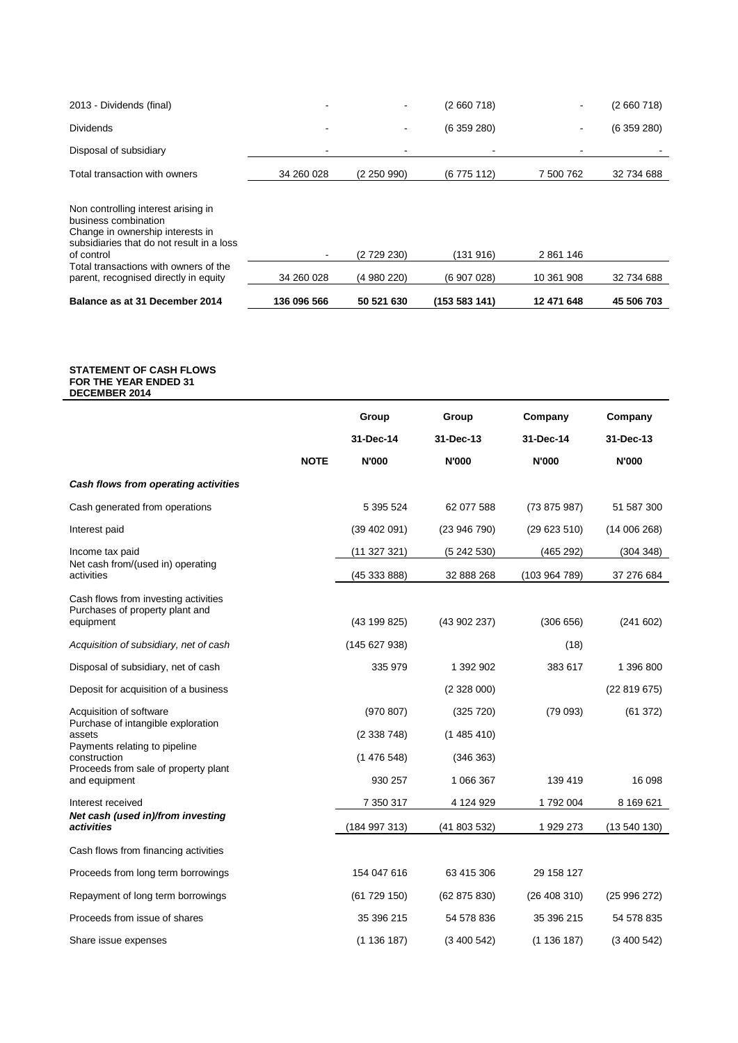| 2013 - Dividends (final)                                                                                                                                                                                                                     | -                            |                        | (2660718)             |                         | (2660718)  |
|----------------------------------------------------------------------------------------------------------------------------------------------------------------------------------------------------------------------------------------------|------------------------------|------------------------|-----------------------|-------------------------|------------|
| <b>Dividends</b>                                                                                                                                                                                                                             | ۰                            |                        | (6359280)             |                         | (6359280)  |
| Disposal of subsidiary                                                                                                                                                                                                                       |                              |                        |                       |                         |            |
| Total transaction with owners                                                                                                                                                                                                                | 34 260 028                   | (2250990)              | (6775112)             | 7 500 762               | 32 734 688 |
| Non controlling interest arising in<br>business combination<br>Change in ownership interests in<br>subsidiaries that do not result in a loss<br>of control<br>Total transactions with owners of the<br>parent, recognised directly in equity | $\blacksquare$<br>34 260 028 | (2729230)<br>(4980220) | (131916)<br>(6907028) | 2 861 146<br>10 361 908 | 32 734 688 |
| Balance as at 31 December 2014                                                                                                                                                                                                               | 136 096 566                  | 50 521 630             | (153 583 141)         | 12 471 648              | 45 506 703 |

#### **STATEMENT OF CASH FLOWS FOR THE YEAR ENDED 31 DECEMBER 2014**

|                                                               |             | Group         | Group        | Company       | Company      |
|---------------------------------------------------------------|-------------|---------------|--------------|---------------|--------------|
|                                                               |             | 31-Dec-14     | 31-Dec-13    | 31-Dec-14     | 31-Dec-13    |
|                                                               | <b>NOTE</b> | <b>N'000</b>  | <b>N'000</b> | <b>N'000</b>  | <b>N'000</b> |
| Cash flows from operating activities                          |             |               |              |               |              |
| Cash generated from operations                                |             | 5 395 524     | 62 077 588   | (73875987)    | 51 587 300   |
| Interest paid                                                 |             | (39 402 091)  | (23946790)   | (29623510)    | (14006268)   |
| Income tax paid                                               |             | (11327321)    | (5242530)    | (465 292)     | (304 348)    |
| Net cash from/(used in) operating<br>activities               |             | (45 333 888)  | 32 888 268   | (103 964 789) | 37 276 684   |
| Cash flows from investing activities                          |             |               |              |               |              |
| Purchases of property plant and<br>equipment                  |             | (43 199 825)  | (43 902 237) | (306656)      | (241602)     |
| Acquisition of subsidiary, net of cash                        |             | (145627938)   |              | (18)          |              |
| Disposal of subsidiary, net of cash                           |             | 335 979       | 1 392 902    | 383 617       | 1 396 800    |
| Deposit for acquisition of a business                         |             |               | (2328000)    |               | (22819675)   |
| Acquisition of software<br>Purchase of intangible exploration |             | (970 807)     | (325 720)    | (79093)       | (61372)      |
| assets                                                        |             | (2338748)     | (1485410)    |               |              |
| Payments relating to pipeline<br>construction                 |             | (1476548)     | (346 363)    |               |              |
| Proceeds from sale of property plant<br>and equipment         |             | 930 257       | 1 066 367    | 139 419       | 16 098       |
| Interest received                                             |             | 7 350 317     | 4 124 929    | 1792004       | 8 169 621    |
| Net cash (used in)/from investing<br>activities               |             | (184 997 313) | (41803532)   | 1 929 273     | (13540130)   |
| Cash flows from financing activities                          |             |               |              |               |              |
| Proceeds from long term borrowings                            |             | 154 047 616   | 63 415 306   | 29 158 127    |              |
| Repayment of long term borrowings                             |             | (61729150)    | (62 875 830) | (26408310)    | (25996272)   |
| Proceeds from issue of shares                                 |             | 35 396 215    | 54 578 836   | 35 396 215    | 54 578 835   |
| Share issue expenses                                          |             | (1136187)     | (3400542)    | (1136187)     | (3400542)    |